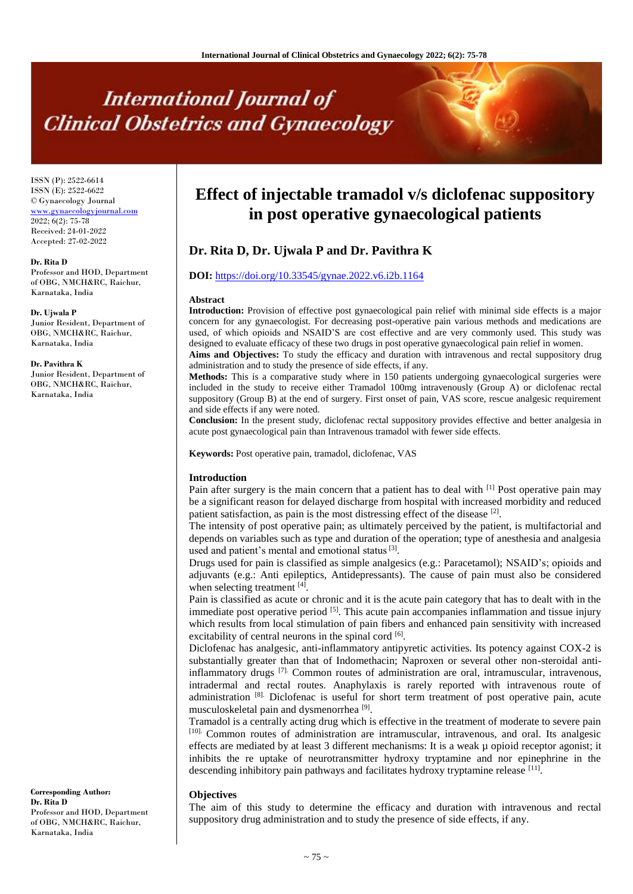# **International Journal of Clinical Obstetrics and Gynaecology**

ISSN (P): 2522-6614 ISSN (E): 2522-6622 © Gynaecology Journal <www.gynaecologyjournal.com> 2022; 6(2): 75-78 Received: 24-01-2022 Accepted: 27-02-2022

**Dr. Rita D**

Professor and HOD, Department of OBG, NMCH&RC, Raichur, Karnataka, India

**Dr. Ujwala P** Junior Resident, Department of OBG, NMCH&RC, Raichur, Karnataka, India

**Dr. Pavithra K** Junior Resident, Department of OBG, NMCH&RC, Raichur, Karnataka, India

#### **Corresponding Author: Dr. Rita D** Professor and HOD, Department of OBG, NMCH&RC, Raichur, Karnataka, India

# **Effect of injectable tramadol v/s diclofenac suppository in post operative gynaecological patients**

# **Dr. Rita D, Dr. Ujwala P and Dr. Pavithra K**

#### **DOI:** <https://doi.org/10.33545/gynae.2022.v6.i2b.1164>

#### **Abstract**

**Introduction:** Provision of effective post gynaecological pain relief with minimal side effects is a major concern for any gynaecologist. For decreasing post-operative pain various methods and medications are used, of which opioids and NSAID'S are cost effective and are very commonly used. This study was designed to evaluate efficacy of these two drugs in post operative gynaecological pain relief in women.

**Aims and Objectives:** To study the efficacy and duration with intravenous and rectal suppository drug administration and to study the presence of side effects, if any.

**Methods:** This is a comparative study where in 150 patients undergoing gynaecological surgeries were included in the study to receive either Tramadol 100mg intravenously (Group A) or diclofenac rectal suppository (Group B) at the end of surgery. First onset of pain, VAS score, rescue analgesic requirement and side effects if any were noted.

**Conclusion:** In the present study, diclofenac rectal suppository provides effective and better analgesia in acute post gynaecological pain than Intravenous tramadol with fewer side effects.

**Keywords:** Post operative pain, tramadol, diclofenac, VAS

#### **Introduction**

Pain after surgery is the main concern that a patient has to deal with <sup>[1]</sup> Post operative pain may be a significant reason for delayed discharge from hospital with increased morbidity and reduced patient satisfaction, as pain is the most distressing effect of the disease <sup>[2]</sup>.

The intensity of post operative pain; as ultimately perceived by the patient, is multifactorial and depends on variables such as type and duration of the operation; type of anesthesia and analgesia used and patient's mental and emotional status<sup>[3]</sup>.

Drugs used for pain is classified as simple analgesics (e.g.: Paracetamol); NSAID's; opioids and adjuvants (e.g.: Anti epileptics, Antidepressants). The cause of pain must also be considered when selecting treatment [4].

Pain is classified as acute or chronic and it is the acute pain category that has to dealt with in the immediate post operative period <sup>[5]</sup>. This acute pain accompanies inflammation and tissue injury which results from local stimulation of pain fibers and enhanced pain sensitivity with increased excitability of central neurons in the spinal cord [6].

Diclofenac has analgesic, anti-inflammatory antipyretic activities. Its potency against COX-2 is substantially greater than that of Indomethacin; Naproxen or several other non-steroidal antiinflammatory drugs [7]. Common routes of administration are oral, intramuscular, intravenous, intradermal and rectal routes. Anaphylaxis is rarely reported with intravenous route of administration [8]. Diclofenac is useful for short term treatment of post operative pain, acute musculoskeletal pain and dysmenorrhea<sup>[9]</sup>.

Tramadol is a centrally acting drug which is effective in the treatment of moderate to severe pain [10]. Common routes of administration are intramuscular, intravenous, and oral. Its analgesic effects are mediated by at least 3 different mechanisms: It is a weak µ opioid receptor agonist; it inhibits the re uptake of neurotransmitter hydroxy tryptamine and nor epinephrine in the descending inhibitory pain pathways and facilitates hydroxy tryptamine release [11].

#### **Objectives**

The aim of this study to determine the efficacy and duration with intravenous and rectal suppository drug administration and to study the presence of side effects, if any.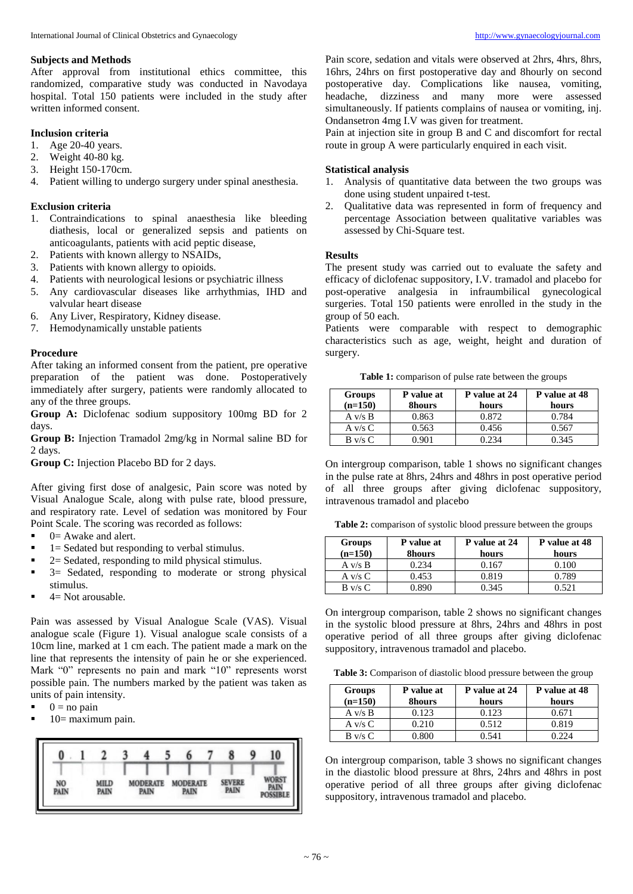After approval from institutional ethics committee, this randomized, comparative study was conducted in Navodaya hospital. Total 150 patients were included in the study after written informed consent.

## **Inclusion criteria**

- 1. Age 20-40 years.
- 2. Weight 40-80 kg.
- 3. Height 150-170cm.
- 4. Patient willing to undergo surgery under spinal anesthesia.

# **Exclusion criteria**

- 1. Contraindications to spinal anaesthesia like bleeding diathesis, local or generalized sepsis and patients on anticoagulants, patients with acid peptic disease,
- 2. Patients with known allergy to NSAIDs,
- 3. Patients with known allergy to opioids.
- 4. Patients with neurological lesions or psychiatric illness
- 5. Any cardiovascular diseases like arrhythmias, IHD and valvular heart disease
- 6. Any Liver, Respiratory, Kidney disease.
- 7. Hemodynamically unstable patients

## **Procedure**

After taking an informed consent from the patient, pre operative preparation of the patient was done. Postoperatively immediately after surgery, patients were randomly allocated to any of the three groups.

**Group A:** Diclofenac sodium suppository 100mg BD for 2 days.

**Group B:** Injection Tramadol 2mg/kg in Normal saline BD for 2 days.

**Group C:** Injection Placebo BD for 2 days.

After giving first dose of analgesic, Pain score was noted by Visual Analogue Scale, along with pulse rate, blood pressure, and respiratory rate. Level of sedation was monitored by Four Point Scale. The scoring was recorded as follows:

- $0=$  Awake and alert.
- $\blacksquare$  1 = Sedated but responding to verbal stimulus.
- $\blacksquare$  2 = Sedated, responding to mild physical stimulus.
- $\blacksquare$  3= Sedated, responding to moderate or strong physical stimulus.
- 4= Not arousable.

Pain was assessed by Visual Analogue Scale (VAS). Visual analogue scale (Figure 1). Visual analogue scale consists of a 10cm line, marked at 1 cm each. The patient made a mark on the line that represents the intensity of pain he or she experienced. Mark "0" represents no pain and mark "10" represents worst possible pain. The numbers marked by the patient was taken as units of pain intensity.

- $0 = no$  pain
- 10= maximum pain.



Pain score, sedation and vitals were observed at 2hrs, 4hrs, 8hrs, 16hrs, 24hrs on first postoperative day and 8hourly on second postoperative day. Complications like nausea, vomiting, headache, dizziness and many more were assessed simultaneously. If patients complains of nausea or vomiting, inj. Ondansetron 4mg I.V was given for treatment.

Pain at injection site in group B and C and discomfort for rectal route in group A were particularly enquired in each visit.

# **Statistical analysis**

- 1. Analysis of quantitative data between the two groups was done using student unpaired t-test.
- 2. Qualitative data was represented in form of frequency and percentage Association between qualitative variables was assessed by Chi-Square test.

#### **Results**

The present study was carried out to evaluate the safety and efficacy of diclofenac suppository, I.V. tramadol and placebo for post-operative analgesia in infraumbilical gynecological surgeries. Total 150 patients were enrolled in the study in the group of 50 each.

Patients were comparable with respect to demographic characteristics such as age, weight, height and duration of surgery.

**Table 1:** comparison of pulse rate between the groups

| <b>Groups</b><br>$(n=150)$ | P value at<br><b>8hours</b> | P value at 24<br>hours | P value at 48<br>hours |
|----------------------------|-----------------------------|------------------------|------------------------|
| A v/s B                    | 0.863                       | 0.872                  | 0.784                  |
| A $v/s C$                  | 0.563                       | 0.456                  | 0.567                  |
| B v/s C                    | ገ ዓበ1                       | 0.234                  | 0.345                  |

On intergroup comparison, table 1 shows no significant changes in the pulse rate at 8hrs, 24hrs and 48hrs in post operative period of all three groups after giving diclofenac suppository, intravenous tramadol and placebo

**Table 2:** comparison of systolic blood pressure between the groups

| Groups            | P value at    | P value at 24 | P value at 48 |
|-------------------|---------------|---------------|---------------|
| $(n=150)$         | <b>8hours</b> | hours         | hours         |
| A v/s B           | 0.234         | 0.167         | 0.100         |
| A $v/s C$         | 0.453         | 0.819         | 0.789         |
| $B \text{ v/s} C$ | ) ՋዐՈ         | 0.345         | 0.521         |

On intergroup comparison, table 2 shows no significant changes in the systolic blood pressure at 8hrs, 24hrs and 48hrs in post operative period of all three groups after giving diclofenac suppository, intravenous tramadol and placebo.

|  |  |  |  | Table 3: Comparison of diastolic blood pressure between the group |
|--|--|--|--|-------------------------------------------------------------------|
|--|--|--|--|-------------------------------------------------------------------|

| <b>Groups</b><br>$(n=150)$ | P value at<br><b>8hours</b> | P value at 24<br>hours | P value at 48<br>hours |
|----------------------------|-----------------------------|------------------------|------------------------|
| A v/s B                    | 0.123                       | 0.123                  | 0.671                  |
| A $v/s C$                  | 0.210                       | 0.512                  | 0.819                  |
| $B \text{ v/s} C$          | ) 800                       |                        | 0 224                  |

On intergroup comparison, table 3 shows no significant changes in the diastolic blood pressure at 8hrs, 24hrs and 48hrs in post operative period of all three groups after giving diclofenac suppository, intravenous tramadol and placebo.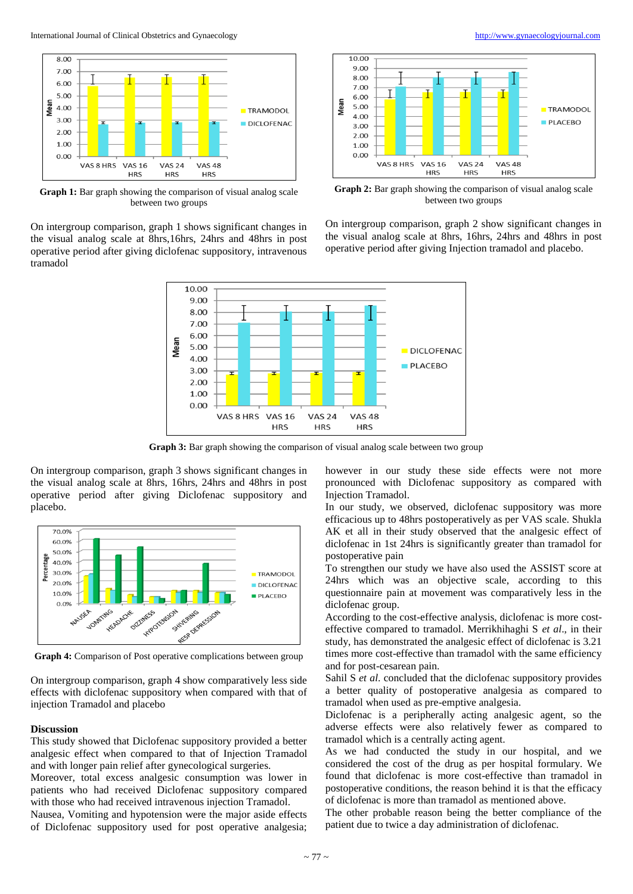International Journal of Clinical Obstetrics and Gynaecology [http://www.gynaecologyjournal.com](http://www.gynaecologyjournal.com/)



**Graph 1:** Bar graph showing the comparison of visual analog scale between two groups

On intergroup comparison, graph 1 shows significant changes in the visual analog scale at 8hrs,16hrs, 24hrs and 48hrs in post operative period after giving diclofenac suppository, intravenous tramadol



**Graph 2:** Bar graph showing the comparison of visual analog scale between two groups

On intergroup comparison, graph 2 show significant changes in the visual analog scale at 8hrs, 16hrs, 24hrs and 48hrs in post operative period after giving Injection tramadol and placebo.



**Graph 3:** Bar graph showing the comparison of visual analog scale between two group

On intergroup comparison, graph 3 shows significant changes in the visual analog scale at 8hrs, 16hrs, 24hrs and 48hrs in post operative period after giving Diclofenac suppository and placebo.



**Graph 4:** Comparison of Post operative complications between group

On intergroup comparison, graph 4 show comparatively less side effects with diclofenac suppository when compared with that of injection Tramadol and placebo

#### **Discussion**

This study showed that Diclofenac suppository provided a better analgesic effect when compared to that of Injection Tramadol and with longer pain relief after gynecological surgeries.

Moreover, total excess analgesic consumption was lower in patients who had received Diclofenac suppository compared with those who had received intravenous injection Tramadol.

Nausea, Vomiting and hypotension were the major aside effects of Diclofenac suppository used for post operative analgesia; however in our study these side effects were not more pronounced with Diclofenac suppository as compared with Injection Tramadol.

In our study, we observed, diclofenac suppository was more efficacious up to 48hrs postoperatively as per VAS scale. Shukla AK et all in their study observed that the analgesic effect of diclofenac in 1st 24hrs is significantly greater than tramadol for postoperative pain

To strengthen our study we have also used the ASSIST score at 24hrs which was an objective scale, according to this questionnaire pain at movement was comparatively less in the diclofenac group.

According to the cost-effective analysis, diclofenac is more costeffective compared to tramadol. Merrikhihaghi S *et al*., in their study, has demonstrated the analgesic effect of diclofenac is 3.21 times more cost-effective than tramadol with the same efficiency and for post-cesarean pain.

Sahil S *et al*. concluded that the diclofenac suppository provides a better quality of postoperative analgesia as compared to tramadol when used as pre-emptive analgesia.

Diclofenac is a peripherally acting analgesic agent, so the adverse effects were also relatively fewer as compared to tramadol which is a centrally acting agent.

As we had conducted the study in our hospital, and we considered the cost of the drug as per hospital formulary. We found that diclofenac is more cost-effective than tramadol in postoperative conditions, the reason behind it is that the efficacy of diclofenac is more than tramadol as mentioned above.

The other probable reason being the better compliance of the patient due to twice a day administration of diclofenac.